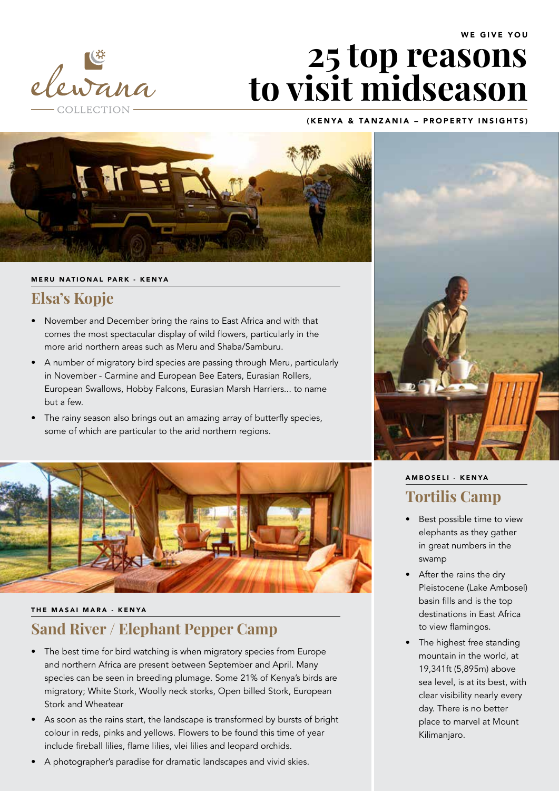

# **25 top reasons to visit midseason**

### (KENYA & TANZANIA – PROPERTY INSIGHTS)



#### MERU NATIONAL PARK - KENYA

### **Elsa's Kopje**

- November and December bring the rains to East Africa and with that comes the most spectacular display of wild flowers, particularly in the more arid northern areas such as Meru and Shaba/Samburu.
- • A number of migratory bird species are passing through Meru, particularly in November - Carmine and European Bee Eaters, Eurasian Rollers, European Swallows, Hobby Falcons, Eurasian Marsh Harriers... to name but a few.
- The rainy season also brings out an amazing array of butterfly species, some of which are particular to the arid northern regions.



#### THE MASAI MARA - KENYA

# **Sand River / Elephant Pepper Camp**

- The best time for bird watching is when migratory species from Europe and northern Africa are present between September and April. Many species can be seen in breeding plumage. Some 21% of Kenya's birds are migratory; White Stork, Woolly neck storks, Open billed Stork, European Stork and Wheatear
- As soon as the rains start, the landscape is transformed by bursts of bright colour in reds, pinks and yellows. Flowers to be found this time of year include fireball lilies, flame lilies, vlei lilies and leopard orchids.
- A photographer's paradise for dramatic landscapes and vivid skies.



# A M B O SELI - KENYA **Tortilis Camp**

- Best possible time to view elephants as they gather in great numbers in the swamp
- After the rains the dry Pleistocene (Lake Ambosel) basin fills and is the top destinations in East Africa to view flamingos.
- The highest free standing mountain in the world, at 19,341ft (5,895m) above sea level, is at its best, with clear visibility nearly every day. There is no better place to marvel at Mount Kilimanjaro.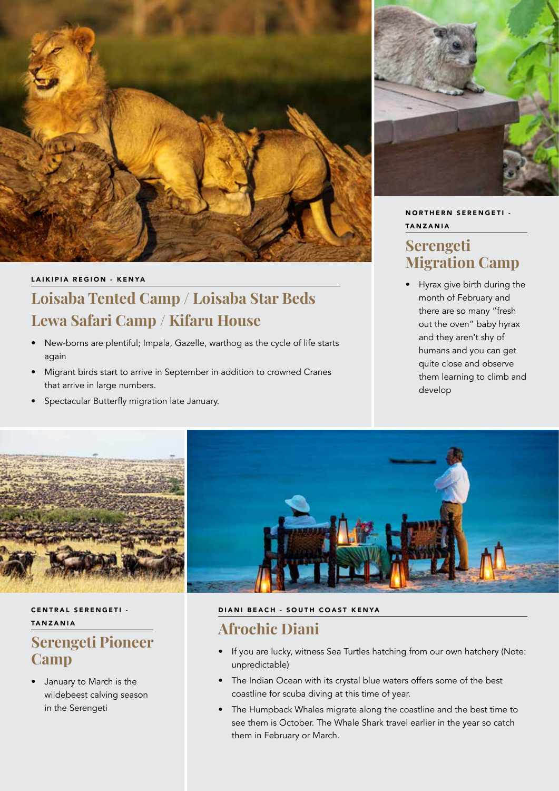

### LAIKIPIA REGION - KENYA

# **Loisaba Tented Camp / Loisaba Star Beds Lewa Safari Camp / Kifaru House**

- New-borns are plentiful; Impala, Gazelle, warthog as the cycle of life starts again
- Migrant birds start to arrive in September in addition to crowned Cranes that arrive in large numbers.
- • Spectacular Butterfly migration late January.



### NORTHERN SERENGETI -TANZANIA

# **Serengeti Migration Camp**

• Hyrax give birth during the month of February and there are so many "fresh out the oven" baby hyrax and they aren't shy of humans and you can get quite close and observe them learning to climb and develop



### CENTRAL SERENGETI -TANZANIA

# **Serengeti Pioneer Camp**

• January to March is the wildebeest calving season in the Serengeti

### DIANI BEACH - SOUTH COAST KENYA

# **Afrochic Diani**

- If you are lucky, witness Sea Turtles hatching from our own hatchery (Note: unpredictable)
- The Indian Ocean with its crystal blue waters offers some of the best coastline for scuba diving at this time of year.
- The Humpback Whales migrate along the coastline and the best time to see them is October. The Whale Shark travel earlier in the year so catch them in February or March.